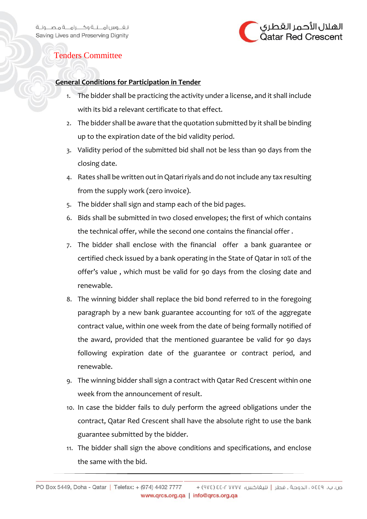

## Tenders Committee

## **General Conditions for Participation in Tender**

- 1. The bidder shall be practicing the activity under a license, and it shall include with its bid a relevant certificate to that effect.
- 2. The bidder shall be aware that the quotation submitted by it shall be binding up to the expiration date of the bid validity period.
- 3. Validity period of the submitted bid shall not be less than 90 days from the closing date.
- 4. Rates shall be written out in Qatari riyals and do not include any tax resulting from the supply work (zero invoice).
- 5. The bidder shall sign and stamp each of the bid pages.
- 6. Bids shall be submitted in two closed envelopes; the first of which contains the technical offer, while the second one contains the financial offer .
- 7. The bidder shall enclose with the financial offer a bank guarantee or certified check issued by a bank operating in the State of Qatar in 10% of the offer's value , which must be valid for 90 days from the closing date and renewable.
- 8. The winning bidder shall replace the bid bond referred to in the foregoing paragraph by a new bank guarantee accounting for 10% of the aggregate contract value, within one week from the date of being formally notified of the award, provided that the mentioned guarantee be valid for 90 days following expiration date of the guarantee or contract period, and renewable.
- 9. The winning bidder shall sign a contract with Qatar Red Crescent within one week from the announcement of result.
- 10. In case the bidder fails to duly perform the agreed obligations under the contract, Qatar Red Crescent shall have the absolute right to use the bank guarantee submitted by the bidder.
- 11. The bidder shall sign the above conditions and specifications, and enclose the same with the bid.